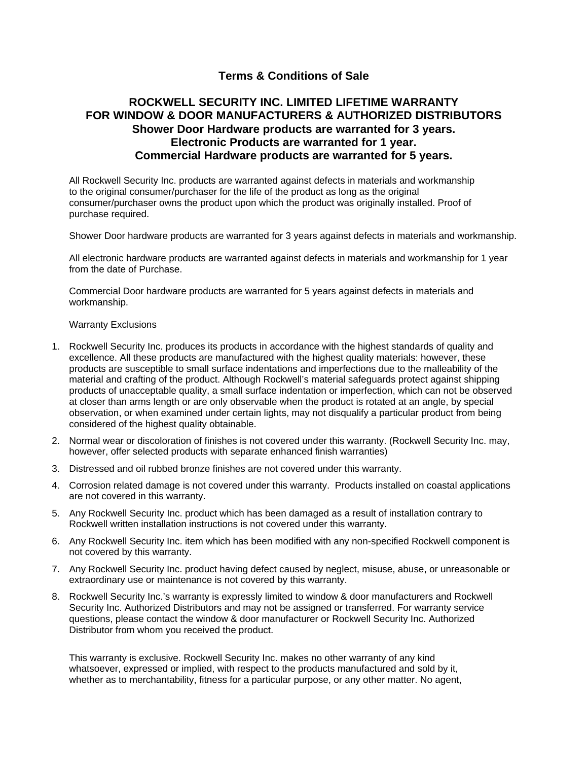## **Terms & Conditions of Sale**

## **ROCKWELL SECURITY INC. LIMITED LIFETIME WARRANTY FOR WINDOW & DOOR MANUFACTURERS & AUTHORIZED DISTRIBUTORS Shower Door Hardware products are warranted for 3 years. Electronic Products are warranted for 1 year. Commercial Hardware products are warranted for 5 years.**

All Rockwell Security Inc. products are warranted against defects in materials and workmanship to the original consumer/purchaser for the life of the product as long as the original consumer/purchaser owns the product upon which the product was originally installed. Proof of purchase required.

Shower Door hardware products are warranted for 3 years against defects in materials and workmanship.

All electronic hardware products are warranted against defects in materials and workmanship for 1 year from the date of Purchase.

Commercial Door hardware products are warranted for 5 years against defects in materials and workmanship.

## Warranty Exclusions

- 1. Rockwell Security Inc. produces its products in accordance with the highest standards of quality and excellence. All these products are manufactured with the highest quality materials: however, these products are susceptible to small surface indentations and imperfections due to the malleability of the material and crafting of the product. Although Rockwell's material safeguards protect against shipping products of unacceptable quality, a small surface indentation or imperfection, which can not be observed at closer than arms length or are only observable when the product is rotated at an angle, by special observation, or when examined under certain lights, may not disqualify a particular product from being considered of the highest quality obtainable.
- 2. Normal wear or discoloration of finishes is not covered under this warranty. (Rockwell Security Inc. may, however, offer selected products with separate enhanced finish warranties)
- 3. Distressed and oil rubbed bronze finishes are not covered under this warranty.
- 4. Corrosion related damage is not covered under this warranty. Products installed on coastal applications are not covered in this warranty.
- 5. Any Rockwell Security Inc. product which has been damaged as a result of installation contrary to Rockwell written installation instructions is not covered under this warranty.
- 6. Any Rockwell Security Inc. item which has been modified with any non-specified Rockwell component is not covered by this warranty.
- 7. Any Rockwell Security Inc. product having defect caused by neglect, misuse, abuse, or unreasonable or extraordinary use or maintenance is not covered by this warranty.
- 8. Rockwell Security Inc.'s warranty is expressly limited to window & door manufacturers and Rockwell Security Inc. Authorized Distributors and may not be assigned or transferred. For warranty service questions, please contact the window & door manufacturer or Rockwell Security Inc. Authorized Distributor from whom you received the product.

This warranty is exclusive. Rockwell Security Inc. makes no other warranty of any kind whatsoever, expressed or implied, with respect to the products manufactured and sold by it, whether as to merchantability, fitness for a particular purpose, or any other matter. No agent,